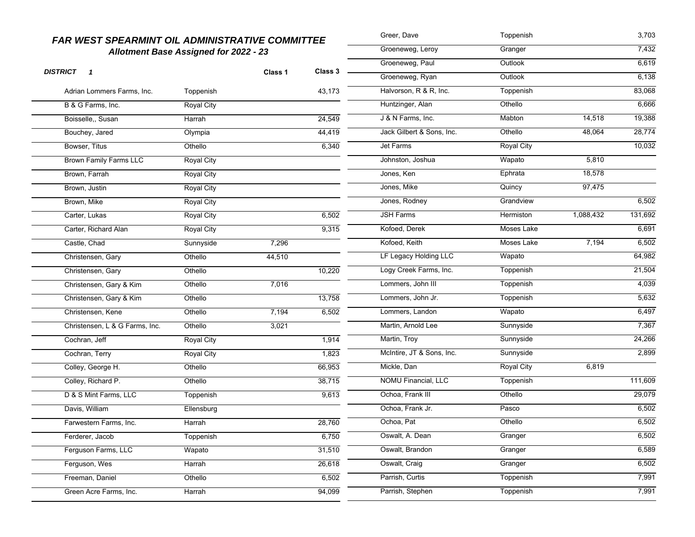| <b>FAR WEST SPEARMINT OIL ADMINISTRATIVE COMMITTEE</b> |                   |         |                  | Greer, Dave<br>Toppenish  |                   | 3,703     |         |
|--------------------------------------------------------|-------------------|---------|------------------|---------------------------|-------------------|-----------|---------|
| <b>Allotment Base Assigned for 2022 - 23</b>           |                   |         | Groeneweg, Leroy | Granger                   |                   | 7,432     |         |
|                                                        |                   |         |                  | Groeneweg, Paul           | Outlook           |           | 6,619   |
| <b>DISTRICT</b><br>$\mathbf{1}$                        |                   | Class 1 | Class 3          | Groeneweg, Ryan           | Outlook           |           | 6,138   |
| Adrian Lommers Farms, Inc.                             | Toppenish         |         | 43,173           | Halvorson, R & R, Inc.    | Toppenish         |           | 83,068  |
| B & G Farms, Inc.                                      | <b>Royal City</b> |         |                  | Huntzinger, Alan          | Othello           |           | 6,666   |
| Boisselle,, Susan                                      | Harrah            |         | 24,549           | J & N Farms, Inc.         | Mabton            | 14,518    | 19,388  |
| Bouchey, Jared                                         | Olympia           |         | 44,419           | Jack Gilbert & Sons, Inc. | Othello           | 48,064    | 28,774  |
| Bowser, Titus                                          | Othello           |         | 6,340            | Jet Farms                 | <b>Royal City</b> |           | 10,032  |
| <b>Brown Family Farms LLC</b>                          | Royal City        |         |                  | Johnston, Joshua          | Wapato            | 5,810     |         |
| Brown, Farrah                                          | <b>Royal City</b> |         |                  | Jones, Ken                | Ephrata           | 18,578    |         |
| Brown, Justin                                          | Royal City        |         |                  | Jones, Mike               | Quincy            | 97,475    |         |
| Brown, Mike                                            | Royal City        |         |                  | Jones, Rodney             | Grandview         |           | 6,502   |
| Carter, Lukas                                          | <b>Royal City</b> |         | 6,502            | <b>JSH Farms</b>          | Hermiston         | 1,088,432 | 131,692 |
| Carter, Richard Alan                                   | Royal City        |         | 9,315            | Kofoed, Derek             | Moses Lake        |           | 6,691   |
| Castle, Chad                                           | Sunnyside         | 7,296   |                  | Kofoed, Keith             | Moses Lake        | 7,194     | 6,502   |
| Christensen, Gary                                      | Othello           | 44,510  |                  | LF Legacy Holding LLC     | Wapato            |           | 64,982  |
| Christensen, Gary                                      | Othello           |         | 10,220           | Logy Creek Farms, Inc.    | Toppenish         |           | 21,504  |
| Christensen, Gary & Kim                                | Othello           | 7,016   |                  | Lommers, John III         | Toppenish         |           | 4,039   |
| Christensen, Gary & Kim                                | Othello           |         | 13,758           | Lommers, John Jr.         | Toppenish         |           | 5,632   |
| Christensen, Kene                                      | Othello           | 7,194   | 6,502            | Lommers, Landon           | Wapato            |           | 6,497   |
| Christensen, L & G Farms, Inc.                         | Othello           | 3,021   |                  | Martin, Arnold Lee        | Sunnyside         |           | 7,367   |
| Cochran, Jeff                                          | Royal City        |         | 1,914            | Martin, Troy              | Sunnyside         |           | 24,266  |
| Cochran, Terry                                         | <b>Royal City</b> |         | 1,823            | McIntire, JT & Sons, Inc. | Sunnyside         |           | 2,899   |
| Colley, George H.                                      | Othello           |         | 66,953           | Mickle, Dan               | <b>Royal City</b> | 6,819     |         |
| Colley, Richard P.                                     | Othello           |         | 38,715           | NOMU Financial, LLC       | Toppenish         |           | 111,609 |
| D & S Mint Farms, LLC                                  | Toppenish         |         | 9,613            | Ochoa, Frank III          | Othello           |           | 29,079  |
| Davis, William                                         | Ellensburg        |         |                  | Ochoa, Frank Jr.          | Pasco             |           | 6,502   |
| Farwestern Farms, Inc.                                 | Harrah            |         | 28,760           | Ochoa, Pat                | Othello           |           | 6,502   |
| Ferderer, Jacob                                        | Toppenish         |         | 6,750            | Oswalt, A. Dean           | Granger           |           | 6,502   |
| Ferguson Farms, LLC                                    | Wapato            |         | 31,510           | Oswalt, Brandon           | Granger           |           | 6,589   |
| Ferguson, Wes                                          | Harrah            |         | 26,618           | Oswalt, Craig             | Granger           |           | 6,502   |
| Freeman, Daniel                                        | Othello           |         | 6,502            | Parrish, Curtis           | Toppenish         |           | 7,991   |
| Green Acre Farms, Inc.                                 | Harrah            |         | 94,099           | Parrish, Stephen          | Toppenish         |           | 7,991   |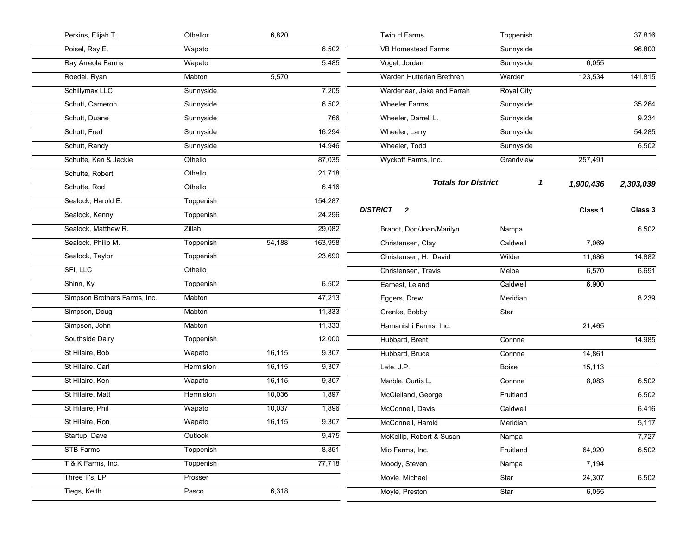| Perkins, Elijah T.           | Othellor         | 6,820  |         | Twin H Farms                    | Toppenish                       |           | 37,816    |
|------------------------------|------------------|--------|---------|---------------------------------|---------------------------------|-----------|-----------|
| Poisel, Ray E.               | Wapato           |        | 6,502   | <b>VB Homestead Farms</b>       | Sunnyside                       |           | 96,800    |
| Ray Arreola Farms            | Wapato           |        | 5,485   | Vogel, Jordan                   | Sunnyside                       | 6,055     |           |
| Roedel, Ryan                 | Mabton           | 5,570  |         | Warden Hutterian Brethren       | Warden                          | 123,534   | 141,815   |
| Schillymax LLC               | Sunnyside        |        | 7,205   | Wardenaar, Jake and Farrah      | <b>Royal City</b>               |           |           |
| Schutt, Cameron              | Sunnyside        |        | 6,502   | <b>Wheeler Farms</b>            | Sunnyside                       |           | 35,264    |
| Schutt, Duane                | Sunnyside        |        | 766     | Wheeler, Darrell L.             | Sunnyside                       |           | 9,234     |
| Schutt, Fred                 | Sunnyside        |        | 16,294  | Wheeler, Larry                  | Sunnyside                       |           | 54,285    |
| Schutt, Randy                | Sunnyside        |        | 14,946  | Wheeler, Todd                   | Sunnyside                       |           | 6,502     |
| Schutte, Ken & Jackie        | Othello          |        | 87,035  | Wyckoff Farms, Inc.             | Grandview                       | 257,491   |           |
| Schutte, Robert              | Othello          |        | 21,718  |                                 |                                 | 1,900,436 |           |
| Schutte, Rod                 | Othello          |        | 6,416   |                                 | <b>Totals for District</b><br>1 |           | 2,303,039 |
| Sealock, Harold E.           | Toppenish        |        | 154,287 |                                 |                                 |           |           |
| Sealock, Kenny               | Toppenish        |        | 24,296  | <b>DISTRICT</b><br>$\mathbf{2}$ |                                 | Class 1   | Class 3   |
| Sealock, Matthew R.          | Zillah           |        | 29,082  | Brandt, Don/Joan/Marilyn        | Nampa                           |           | 6,502     |
| Sealock, Philip M.           | Toppenish        | 54,188 | 163,958 | Christensen, Clay               | Caldwell                        | 7,069     |           |
| Sealock, Taylor              | <b>Toppenish</b> |        | 23,690  | Christensen, H. David           | Wilder                          | 11,686    | 14,882    |
| SFI, LLC                     | Othello          |        |         | Christensen, Travis             | Melba                           | 6,570     | 6,691     |
| Shinn, Ky                    | Toppenish        |        | 6,502   | Earnest, Leland                 | Caldwell                        | 6,900     |           |
| Simpson Brothers Farms, Inc. | Mabton           |        | 47,213  | Eggers, Drew                    | Meridian                        |           | 8,239     |
| Simpson, Doug                | Mabton           |        | 11,333  | Grenke, Bobby                   | <b>Star</b>                     |           |           |
| Simpson, John                | Mabton           |        | 11,333  | Hamanishi Farms, Inc.           |                                 | 21,465    |           |
| Southside Dairy              | Toppenish        |        | 12,000  | Hubbard, Brent                  | Corinne                         |           | 14,985    |
| St Hilaire, Bob              | Wapato           | 16,115 | 9,307   | Hubbard, Bruce                  | Corinne                         | 14,861    |           |
| St Hilaire, Carl             | Hermiston        | 16,115 | 9,307   | Lete, J.P.                      | <b>Boise</b>                    | 15,113    |           |
| St Hilaire, Ken              | Wapato           | 16,115 | 9,307   | Marble, Curtis L.               | Corinne                         | 8,083     | 6,502     |
| St Hilaire, Matt             | Hermiston        | 10,036 | 1,897   | McClelland, George              | Fruitland                       |           | 6,502     |
| St Hilaire, Phil             | Wapato           | 10,037 | 1,896   | McConnell, Davis                | Caldwell                        |           | 6,416     |
| St Hilaire, Ron              | Wapato           | 16,115 | 9,307   | McConnell, Harold               | Meridian                        |           | 5,117     |
| Startup, Dave                | Outlook          |        | 9,475   | McKellip, Robert & Susan        | Nampa                           |           | 7,727     |
| <b>STB Farms</b>             | Toppenish        |        | 8,851   | Mio Farms, Inc.                 | Fruitland                       | 64,920    | 6,502     |
| T & K Farms, Inc.            | Toppenish        |        | 77,718  | Moody, Steven                   | Nampa                           | 7,194     |           |
| Three T's, LP                | Prosser          |        |         | Moyle, Michael                  | Star                            | 24,307    | 6,502     |
| Tiegs, Keith                 | Pasco            | 6,318  |         | Moyle, Preston                  | Star                            | 6,055     |           |
|                              |                  |        |         |                                 |                                 |           |           |